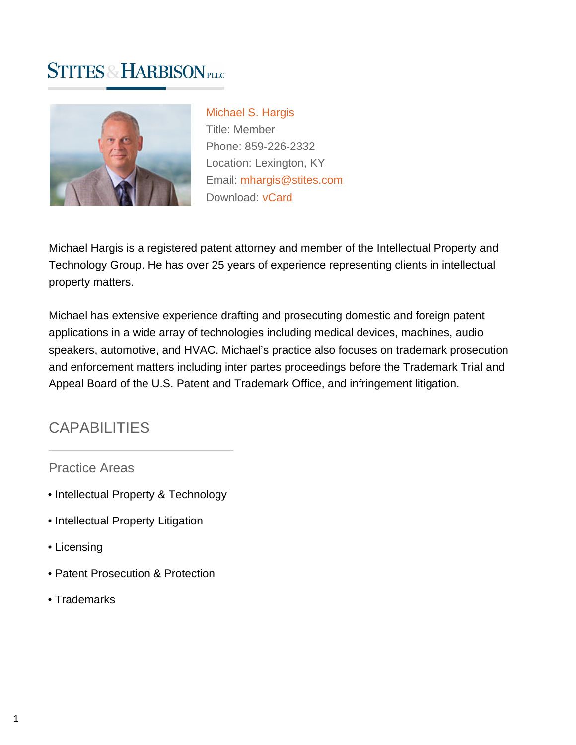# **STITES & HARBISON PLLC**



[Michael S. Hargis](https://www.stites.com/attorneys/michael-hargis) Title: Member Phone: 859-226-2332 Location: Lexington, KY Email: [mhargis@stites.com](mailto:mhargis@stites.com) Download: [vCard](https://www.stites.com/vcard/michael-hargis)

Michael Hargis is a registered patent attorney and member of the Intellectual Property and Technology Group. He has over 25 years of experience representing clients in intellectual property matters.

Michael has extensive experience drafting and prosecuting domestic and foreign patent applications in a wide array of technologies including medical devices, machines, audio speakers, automotive, and HVAC. Michael's practice also focuses on trademark prosecution and enforcement matters including inter partes proceedings before the Trademark Trial and Appeal Board of the U.S. Patent and Trademark Office, and infringement litigation.

# **CAPABILITIES**

Practice Areas

- Intellectual Property & Technology
- Intellectual Property Litigation
- Licensing
- Patent Prosecution & Protection
- Trademarks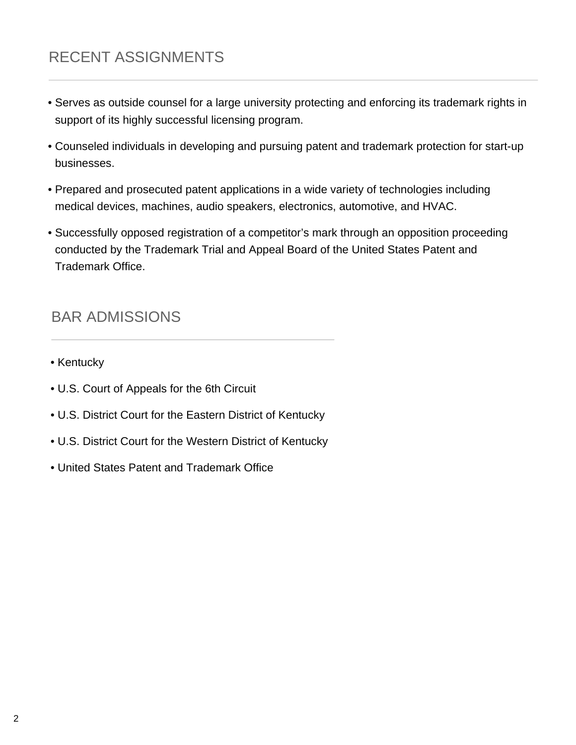# RECENT ASSIGNMENTS

- Serves as outside counsel for a large university protecting and enforcing its trademark rights in support of its highly successful licensing program.
- Counseled individuals in developing and pursuing patent and trademark protection for start-up businesses.
- Prepared and prosecuted patent applications in a wide variety of technologies including medical devices, machines, audio speakers, electronics, automotive, and HVAC.
- Successfully opposed registration of a competitor's mark through an opposition proceeding conducted by the Trademark Trial and Appeal Board of the United States Patent and Trademark Office.

### BAR ADMISSIONS

- Kentucky
- U.S. Court of Appeals for the 6th Circuit
- U.S. District Court for the Eastern District of Kentucky
- U.S. District Court for the Western District of Kentucky
- United States Patent and Trademark Office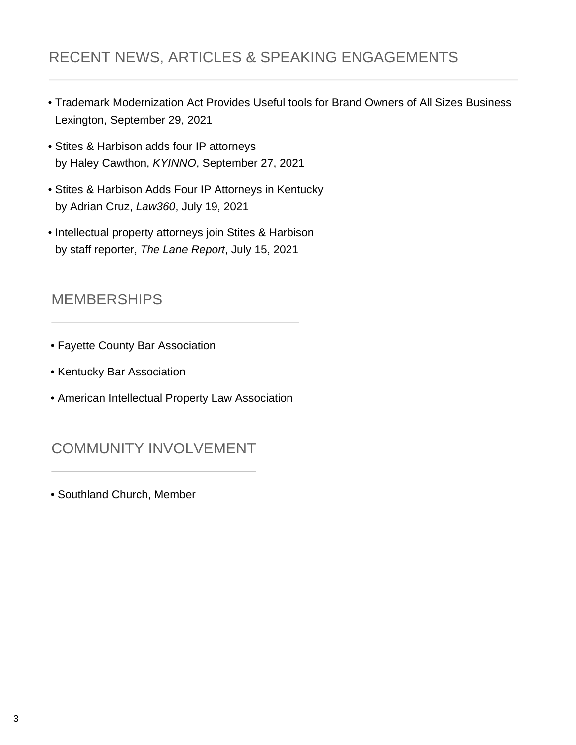# RECENT NEWS, ARTICLES & SPEAKING ENGAGEMENTS

- Trademark Modernization Act Provides Useful tools for Brand Owners of All Sizes Business Lexington, September 29, 2021
- Stites & Harbison adds four IP attorneys by Haley Cawthon, KYINNO, September 27, 2021
- Stites & Harbison Adds Four IP Attorneys in Kentucky by Adrian Cruz, Law360, July 19, 2021
- Intellectual property attorneys join Stites & Harbison by staff reporter, The Lane Report, July 15, 2021

#### **MEMBERSHIPS**

- Fayette County Bar Association
- Kentucky Bar Association
- American Intellectual Property Law Association

# COMMUNITY INVOLVEMENT

• Southland Church, Member